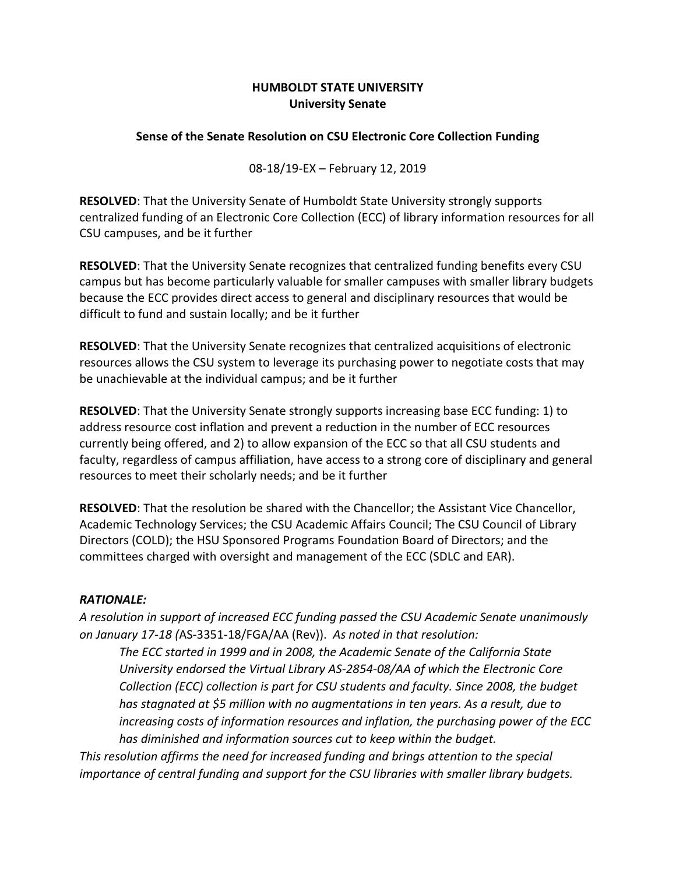## **HUMBOLDT STATE UNIVERSITY University Senate**

## **Sense of the Senate Resolution on CSU Electronic Core Collection Funding**

08-18/19-EX – February 12, 2019

**RESOLVED**: That the University Senate of Humboldt State University strongly supports centralized funding of an Electronic Core Collection (ECC) of library information resources for all CSU campuses, and be it further

**RESOLVED**: That the University Senate recognizes that centralized funding benefits every CSU campus but has become particularly valuable for smaller campuses with smaller library budgets because the ECC provides direct access to general and disciplinary resources that would be difficult to fund and sustain locally; and be it further

**RESOLVED**: That the University Senate recognizes that centralized acquisitions of electronic resources allows the CSU system to leverage its purchasing power to negotiate costs that may be unachievable at the individual campus; and be it further

**RESOLVED**: That the University Senate strongly supports increasing base ECC funding: 1) to address resource cost inflation and prevent a reduction in the number of ECC resources currently being offered, and 2) to allow expansion of the ECC so that all CSU students and faculty, regardless of campus affiliation, have access to a strong core of disciplinary and general resources to meet their scholarly needs; and be it further

**RESOLVED**: That the resolution be shared with the Chancellor; the Assistant Vice Chancellor, Academic Technology Services; the CSU Academic Affairs Council; The CSU Council of Library Directors (COLD); the HSU Sponsored Programs Foundation Board of Directors; and the committees charged with oversight and management of the ECC (SDLC and EAR).

## *RATIONALE:*

*A resolution in support of increased ECC funding passed the CSU Academic Senate unanimously on January 17-18 (*AS-3351-18/FGA/AA (Rev)). *As noted in that resolution:*

*The ECC started in 1999 and in 2008, the Academic Senate of the California State University endorsed the Virtual Library AS-2854-08/AA of which the Electronic Core Collection (ECC) collection is part for CSU students and faculty. Since 2008, the budget has stagnated at \$5 million with no augmentations in ten years. As a result, due to increasing costs of information resources and inflation, the purchasing power of the ECC has diminished and information sources cut to keep within the budget.*

*This resolution affirms the need for increased funding and brings attention to the special importance of central funding and support for the CSU libraries with smaller library budgets.*